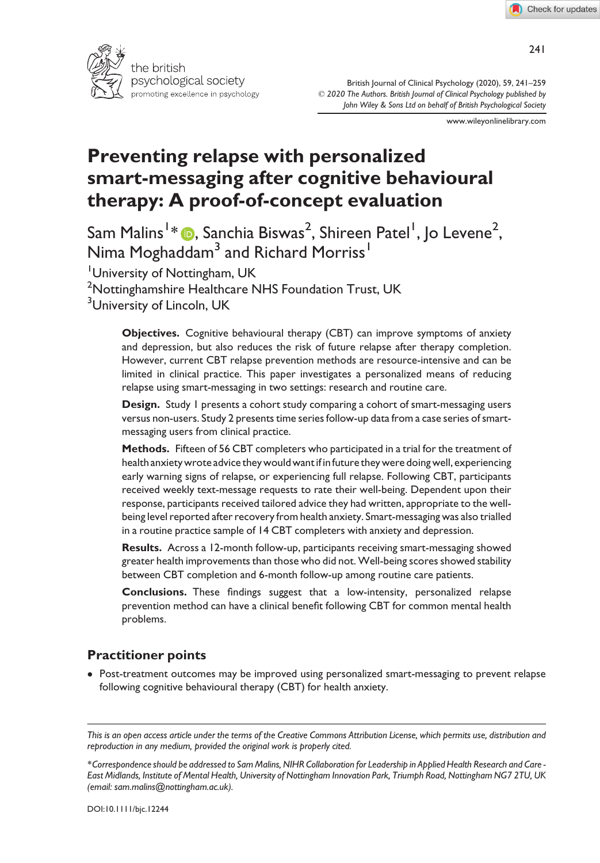





British Journal of Clinical Psychology (2020), 59, 241–259 © 2020 The Authors. British Journal of Clinical Psychology published by John Wiley & Sons Ltd on behalf of British Psychological Society

www.wileyonlinelibrary.com

# Preventing relapse with personalized smart-messaging after cognitive behavioural therapy: A proof-of-concept evaluation

Sam Malins<sup>1</sup>\* <mark>O</mark>, Sanchia Biswas<sup>2</sup>, Shireen Patel<sup>1</sup>, Jo Levene<sup>2</sup>, Nima Moghaddam<sup>3</sup> and Richard Morriss<sup>1</sup>

University of Nottingham, UK

 $^2$ Nottinghamshire Healthcare NHS Foundation Trust, UK

<sup>3</sup>University of Lincoln, UK

Objectives. Cognitive behavioural therapy (CBT) can improve symptoms of anxiety and depression, but also reduces the risk of future relapse after therapy completion. However, current CBT relapse prevention methods are resource-intensive and can be limited in clinical practice. This paper investigates a personalized means of reducing relapse using smart-messaging in two settings: research and routine care.

Design. Study 1 presents a cohort study comparing a cohort of smart-messaging users versus non-users. Study 2 presents time series follow-up data from a case series of smartmessaging users from clinical practice.

Methods. Fifteen of 56 CBT completers who participated in a trial for the treatment of health anxiety wrote advice they would want if in future they were doing well, experiencing early warning signs of relapse, or experiencing full relapse. Following CBT, participants received weekly text-message requests to rate their well-being. Dependent upon their response, participants received tailored advice they had written, appropriate to the wellbeing level reported after recovery from health anxiety. Smart-messaging was also trialled in a routine practice sample of 14 CBT completers with anxiety and depression.

Results. Across a 12-month follow-up, participants receiving smart-messaging showed greater health improvements than those who did not. Well-being scores showed stability between CBT completion and 6-month follow-up among routine care patients.

Conclusions. These findings suggest that a low-intensity, personalized relapse prevention method can have a clinical benefit following CBT for common mental health problems.

# Practitioner points

 Post-treatment outcomes may be improved using personalized smart-messaging to prevent relapse following cognitive behavioural therapy (CBT) for health anxiety.

This is an open access article under the terms of the [Creative Commons Attribution](http://creativecommons.org/licenses/by/4.0/) License, which permits use, distribution and reproduction in any medium, provided the original work is properly cited.

<sup>\*</sup>Correspondence should be addressed to Sam Malins, NIHR Collaboration for Leadership in Applied Health Research and Care - East Midlands, Institute of Mental Health, University of Nottingham Innovation Park, Triumph Road, Nottingham NG7 2TU, UK (email: [sam.malins@nottingham.ac.uk\)](mailto:).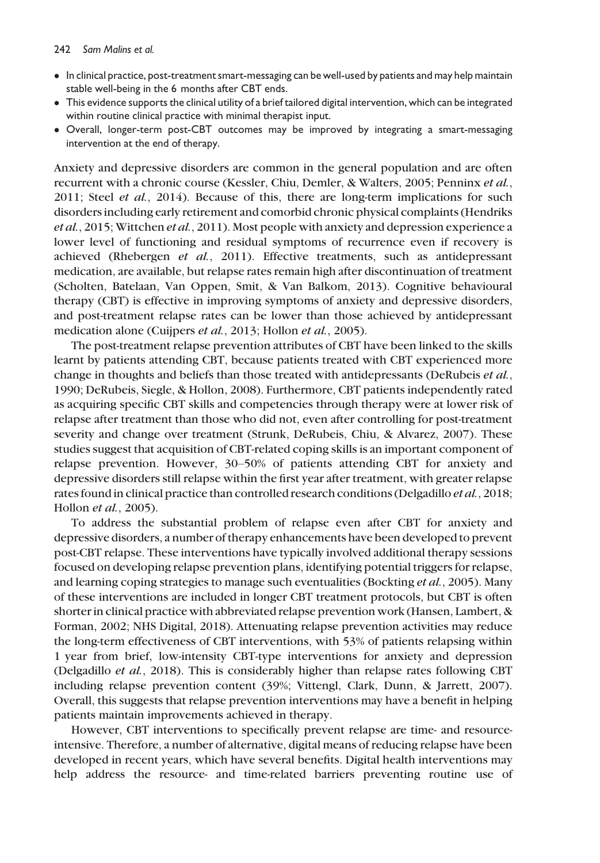- In clinical practice, post-treatment smart-messaging can be well-used by patients and may help maintain stable well-being in the 6 months after CBT ends.
- This evidence supports the clinical utility of a brief tailored digital intervention, which can be integrated within routine clinical practice with minimal therapist input.
- Overall, longer-term post-CBT outcomes may be improved by integrating a smart-messaging intervention at the end of therapy.

Anxiety and depressive disorders are common in the general population and are often recurrent with a chronic course (Kessler, Chiu, Demler, & Walters, 2005; Penninx et al.,  $2011$ ; Steel *et al.*,  $2014$ ). Because of this, there are long-term implications for such disorders including early retirement and comorbid chronic physical complaints (Hendriks et al., 2015; Wittchen et al., 2011). Most people with anxiety and depression experience a lower level of functioning and residual symptoms of recurrence even if recovery is achieved (Rhebergen et al., 2011). Effective treatments, such as antidepressant medication, are available, but relapse rates remain high after discontinuation of treatment (Scholten, Batelaan, Van Oppen, Smit, & Van Balkom, 2013). Cognitive behavioural therapy (CBT) is effective in improving symptoms of anxiety and depressive disorders, and post-treatment relapse rates can be lower than those achieved by antidepressant medication alone (Cuijpers et al., 2013; Hollon et al., 2005).

The post-treatment relapse prevention attributes of CBT have been linked to the skills learnt by patients attending CBT, because patients treated with CBT experienced more change in thoughts and beliefs than those treated with antidepressants (DeRubeis *et al.*, 1990; DeRubeis, Siegle, & Hollon, 2008). Furthermore, CBT patients independently rated as acquiring specific CBT skills and competencies through therapy were at lower risk of relapse after treatment than those who did not, even after controlling for post-treatment severity and change over treatment (Strunk, DeRubeis, Chiu, & Alvarez, 2007). These studies suggest that acquisition of CBT-related coping skills is an important component of relapse prevention. However, 30–50% of patients attending CBT for anxiety and depressive disorders still relapse within the first year after treatment, with greater relapse rates found in clinical practice than controlled research conditions (Delgadillo *et al.*, 2018; Hollon et al., 2005).

To address the substantial problem of relapse even after CBT for anxiety and depressive disorders, a number of therapy enhancements have been developed to prevent post-CBT relapse. These interventions have typically involved additional therapy sessions focused on developing relapse prevention plans, identifying potential triggers for relapse, and learning coping strategies to manage such eventualities (Bockting et al., 2005). Many of these interventions are included in longer CBT treatment protocols, but CBT is often shorter in clinical practice with abbreviated relapse prevention work (Hansen, Lambert, & Forman, 2002; NHS Digital, 2018). Attenuating relapse prevention activities may reduce the long-term effectiveness of CBT interventions, with 53% of patients relapsing within 1 year from brief, low-intensity CBT-type interventions for anxiety and depression (Delgadillo et al., 2018). This is considerably higher than relapse rates following CBT including relapse prevention content (39%; Vittengl, Clark, Dunn, & Jarrett, 2007). Overall, this suggests that relapse prevention interventions may have a benefit in helping patients maintain improvements achieved in therapy.

However, CBT interventions to specifically prevent relapse are time- and resourceintensive. Therefore, a number of alternative, digital means of reducing relapse have been developed in recent years, which have several benefits. Digital health interventions may help address the resource- and time-related barriers preventing routine use of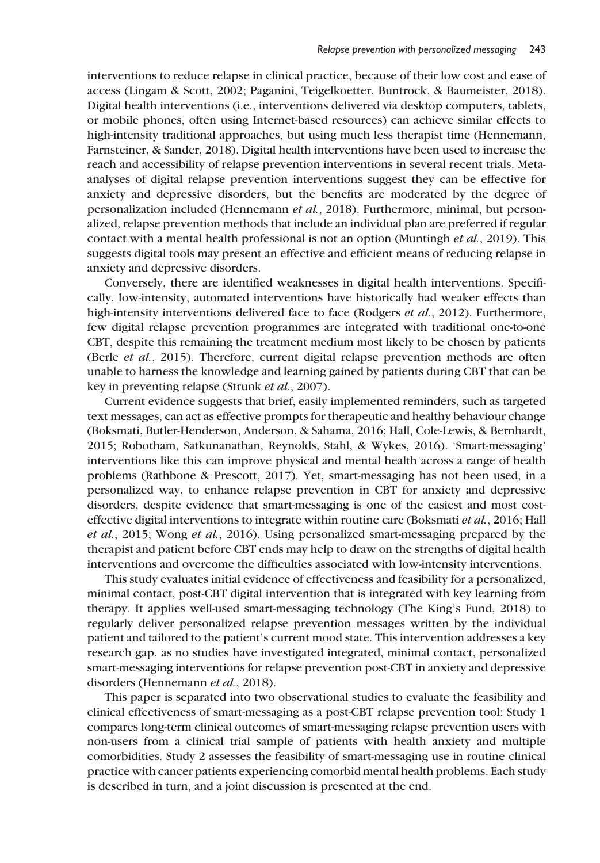interventions to reduce relapse in clinical practice, because of their low cost and ease of access (Lingam & Scott, 2002; Paganini, Teigelkoetter, Buntrock, & Baumeister, 2018). Digital health interventions (i.e., interventions delivered via desktop computers, tablets, or mobile phones, often using Internet-based resources) can achieve similar effects to high-intensity traditional approaches, but using much less therapist time (Hennemann, Farnsteiner, & Sander, 2018). Digital health interventions have been used to increase the reach and accessibility of relapse prevention interventions in several recent trials. Metaanalyses of digital relapse prevention interventions suggest they can be effective for anxiety and depressive disorders, but the benefits are moderated by the degree of personalization included (Hennemann et al., 2018). Furthermore, minimal, but personalized, relapse prevention methods that include an individual plan are preferred if regular contact with a mental health professional is not an option (Muntingh et al., 2019). This suggests digital tools may present an effective and efficient means of reducing relapse in anxiety and depressive disorders.

Conversely, there are identified weaknesses in digital health interventions. Specifically, low-intensity, automated interventions have historically had weaker effects than high-intensity interventions delivered face to face (Rodgers et al., 2012). Furthermore, few digital relapse prevention programmes are integrated with traditional one-to-one CBT, despite this remaining the treatment medium most likely to be chosen by patients (Berle et al., 2015). Therefore, current digital relapse prevention methods are often unable to harness the knowledge and learning gained by patients during CBT that can be key in preventing relapse (Strunk et al., 2007).

Current evidence suggests that brief, easily implemented reminders, such as targeted text messages, can act as effective prompts for therapeutic and healthy behaviour change (Boksmati, Butler-Henderson, Anderson, & Sahama, 2016; Hall, Cole-Lewis, & Bernhardt, 2015; Robotham, Satkunanathan, Reynolds, Stahl, & Wykes, 2016). 'Smart-messaging' interventions like this can improve physical and mental health across a range of health problems (Rathbone & Prescott, 2017). Yet, smart-messaging has not been used, in a personalized way, to enhance relapse prevention in CBT for anxiety and depressive disorders, despite evidence that smart-messaging is one of the easiest and most costeffective digital interventions to integrate within routine care (Boksmati et al., 2016; Hall et al., 2015; Wong et al., 2016). Using personalized smart-messaging prepared by the therapist and patient before CBT ends may help to draw on the strengths of digital health interventions and overcome the difficulties associated with low-intensity interventions.

This study evaluates initial evidence of effectiveness and feasibility for a personalized, minimal contact, post-CBT digital intervention that is integrated with key learning from therapy. It applies well-used smart-messaging technology (The King's Fund, 2018) to regularly deliver personalized relapse prevention messages written by the individual patient and tailored to the patient's current mood state. This intervention addresses a key research gap, as no studies have investigated integrated, minimal contact, personalized smart-messaging interventions for relapse prevention post-CBT in anxiety and depressive disorders (Hennemann et al., 2018).

This paper is separated into two observational studies to evaluate the feasibility and clinical effectiveness of smart-messaging as a post-CBT relapse prevention tool: Study 1 compares long-term clinical outcomes of smart-messaging relapse prevention users with non-users from a clinical trial sample of patients with health anxiety and multiple comorbidities. Study 2 assesses the feasibility of smart-messaging use in routine clinical practice with cancer patients experiencing comorbid mental health problems. Each study is described in turn, and a joint discussion is presented at the end.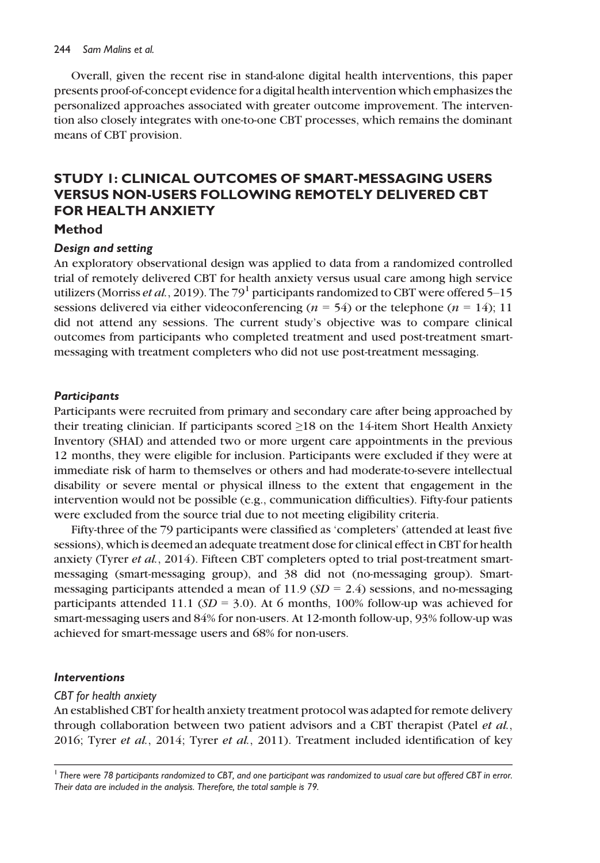Overall, given the recent rise in stand-alone digital health interventions, this paper presents proof-of-concept evidence for a digital health intervention which emphasizes the personalized approaches associated with greater outcome improvement. The intervention also closely integrates with one-to-one CBT processes, which remains the dominant means of CBT provision.

# STUDY 1: CLINICAL OUTCOMES OF SMART-MESSAGING USERS VERSUS NON-USERS FOLLOWING REMOTELY DELIVERED CBT FOR HEALTH ANXIETY

#### Method

#### Design and setting

An exploratory observational design was applied to data from a randomized controlled trial of remotely delivered CBT for health anxiety versus usual care among high service utilizers (Morriss *et al.*, 2019). The 79<sup>1</sup> participants randomized to CBT were offered 5–15 sessions delivered via either videoconferencing ( $n = 54$ ) or the telephone ( $n = 14$ ); 11 did not attend any sessions. The current study's objective was to compare clinical outcomes from participants who completed treatment and used post-treatment smartmessaging with treatment completers who did not use post-treatment messaging.

#### **Particibants**

Participants were recruited from primary and secondary care after being approached by their treating clinician. If participants scored  $\geq$ 18 on the 14-item Short Health Anxiety Inventory (SHAI) and attended two or more urgent care appointments in the previous 12 months, they were eligible for inclusion. Participants were excluded if they were at immediate risk of harm to themselves or others and had moderate-to-severe intellectual disability or severe mental or physical illness to the extent that engagement in the intervention would not be possible (e.g., communication difficulties). Fifty-four patients were excluded from the source trial due to not meeting eligibility criteria.

Fifty-three of the 79 participants were classified as 'completers' (attended at least five sessions), which is deemed an adequate treatment dose for clinical effect in CBT for health anxiety (Tyrer et al., 2014). Fifteen CBT completers opted to trial post-treatment smartmessaging (smart-messaging group), and 38 did not (no-messaging group). Smartmessaging participants attended a mean of 11.9 ( $SD = 2.4$ ) sessions, and no-messaging participants attended 11.1 ( $SD = 3.0$ ). At 6 months, 100% follow-up was achieved for smart-messaging users and 84% for non-users. At 12-month follow-up, 93% follow-up was achieved for smart-message users and 68% for non-users.

#### Interventions

#### CBT for health anxiety

An established CBT for health anxiety treatment protocol was adapted for remote delivery through collaboration between two patient advisors and a CBT therapist (Patel *et al.*, 2016; Tyrer et al., 2014; Tyrer et al., 2011). Treatment included identification of key

<sup>&</sup>lt;sup>1</sup> There were 78 participants randomized to CBT, and one participant was randomized to usual care but offered CBT in error. Their data are included in the analysis. Therefore, the total sample is 79.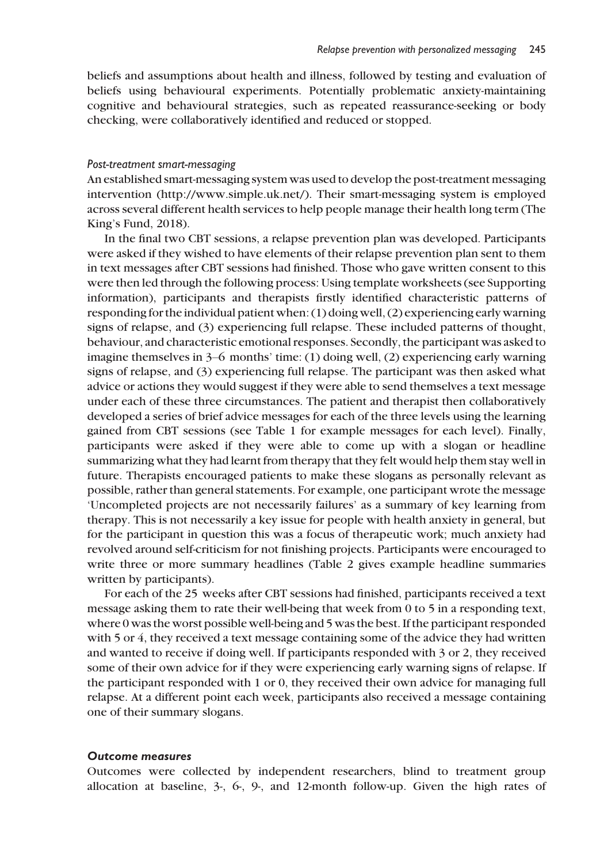beliefs and assumptions about health and illness, followed by testing and evaluation of beliefs using behavioural experiments. Potentially problematic anxiety-maintaining cognitive and behavioural strategies, such as repeated reassurance-seeking or body checking, were collaboratively identified and reduced or stopped.

#### Post-treatment smart-messaging

An established smart-messaging system was used to develop the post-treatment messaging intervention [\(http://www.simple.uk.net/](http://www.simple.uk.net/)). Their smart-messaging system is employed across several different health services to help people manage their health long term (The King's Fund, 2018).

In the final two CBT sessions, a relapse prevention plan was developed. Participants were asked if they wished to have elements of their relapse prevention plan sent to them in text messages after CBT sessions had finished. Those who gave written consent to this were then led through the following process: Using template worksheets (see Supporting information), participants and therapists firstly identified characteristic patterns of responding for the individual patient when: (1) doing well, (2) experiencing early warning signs of relapse, and (3) experiencing full relapse. These included patterns of thought, behaviour, and characteristic emotional responses. Secondly, the participant was asked to imagine themselves in 3–6 months' time: (1) doing well, (2) experiencing early warning signs of relapse, and (3) experiencing full relapse. The participant was then asked what advice or actions they would suggest if they were able to send themselves a text message under each of these three circumstances. The patient and therapist then collaboratively developed a series of brief advice messages for each of the three levels using the learning gained from CBT sessions (see Table 1 for example messages for each level). Finally, participants were asked if they were able to come up with a slogan or headline summarizing what they had learnt from therapy that they felt would help them stay well in future. Therapists encouraged patients to make these slogans as personally relevant as possible, rather than general statements. For example, one participant wrote the message 'Uncompleted projects are not necessarily failures' as a summary of key learning from therapy. This is not necessarily a key issue for people with health anxiety in general, but for the participant in question this was a focus of therapeutic work; much anxiety had revolved around self-criticism for not finishing projects. Participants were encouraged to write three or more summary headlines (Table 2 gives example headline summaries written by participants).

For each of the 25 weeks after CBT sessions had finished, participants received a text message asking them to rate their well-being that week from 0 to 5 in a responding text, where 0 was the worst possible well-being and 5 was the best. If the participant responded with 5 or 4, they received a text message containing some of the advice they had written and wanted to receive if doing well. If participants responded with 3 or 2, they received some of their own advice for if they were experiencing early warning signs of relapse. If the participant responded with 1 or 0, they received their own advice for managing full relapse. At a different point each week, participants also received a message containing one of their summary slogans.

#### Outcome measures

Outcomes were collected by independent researchers, blind to treatment group allocation at baseline, 3-, 6-, 9-, and 12-month follow-up. Given the high rates of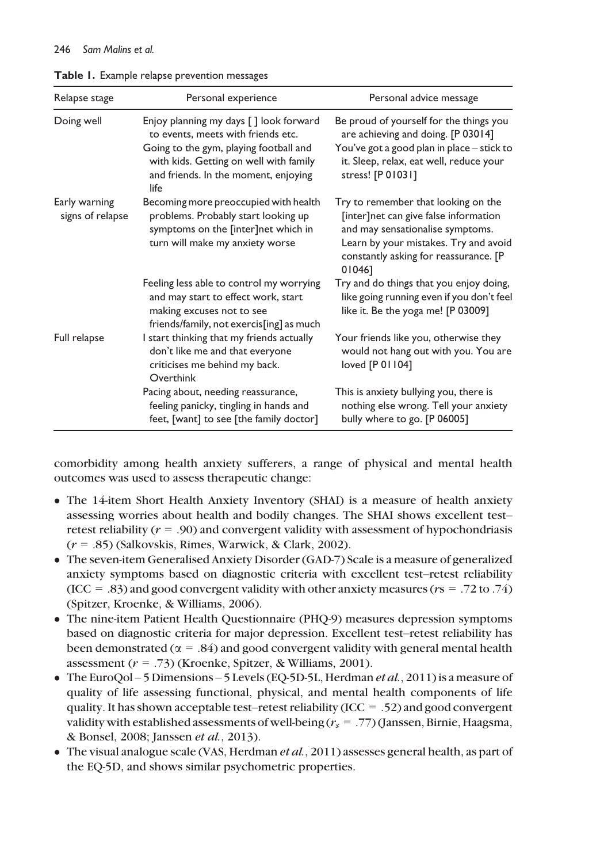| Relapse stage                     | Personal experience                                                                                                                                      | Personal advice message                                                                                                                                                                                      |
|-----------------------------------|----------------------------------------------------------------------------------------------------------------------------------------------------------|--------------------------------------------------------------------------------------------------------------------------------------------------------------------------------------------------------------|
| Doing well                        | Enjoy planning my days [] look forward<br>to events, meets with friends etc.                                                                             | Be proud of yourself for the things you<br>are achieving and doing. [P 03014]                                                                                                                                |
|                                   | Going to the gym, playing football and<br>with kids. Getting on well with family<br>and friends. In the moment, enjoying<br>life                         | You've got a good plan in place – stick to<br>it. Sleep, relax, eat well, reduce your<br>stress! [P 01031]                                                                                                   |
| Early warning<br>signs of relapse | Becoming more preoccupied with health<br>problems. Probably start looking up<br>symptoms on the [inter]net which in<br>turn will make my anxiety worse   | Try to remember that looking on the<br>[inter]net can give false information<br>and may sensationalise symptoms.<br>Learn by your mistakes. Try and avoid<br>constantly asking for reassurance. [P<br>010461 |
|                                   | Feeling less able to control my worrying<br>and may start to effect work, start<br>making excuses not to see<br>friends/family, not exercis[ing] as much | Try and do things that you enjoy doing,<br>like going running even if you don't feel<br>like it. Be the yoga me! [P 03009]                                                                                   |
| Full relapse                      | I start thinking that my friends actually<br>don't like me and that everyone<br>criticises me behind my back.<br>Overthink                               | Your friends like you, otherwise they<br>would not hang out with you. You are<br>loved [P 01104]                                                                                                             |
|                                   | Pacing about, needing reassurance,<br>feeling panicky, tingling in hands and<br>feet, [want] to see [the family doctor]                                  | This is anxiety bullying you, there is<br>nothing else wrong. Tell your anxiety<br>bully where to go. [P 06005]                                                                                              |

Table 1. Example relapse prevention messages

comorbidity among health anxiety sufferers, a range of physical and mental health outcomes was used to assess therapeutic change:

- The 14-item Short Health Anxiety Inventory (SHAI) is a measure of health anxiety assessing worries about health and bodily changes. The SHAI shows excellent test– retest reliability ( $r = .90$ ) and convergent validity with assessment of hypochondriasis  $(r = .85)$  (Salkovskis, Rimes, Warwick, & Clark, 2002).
- The seven-item Generalised Anxiety Disorder (GAD-7) Scale is a measure of generalized anxiety symptoms based on diagnostic criteria with excellent test–retest reliability (ICC = .83) and good convergent validity with other anxiety measures ( $rs = .72$  to .74) (Spitzer, Kroenke, & Williams, 2006).
- The nine-item Patient Health Questionnaire (PHQ-9) measures depression symptoms based on diagnostic criteria for major depression. Excellent test–retest reliability has been demonstrated ( $\alpha = .84$ ) and good convergent validity with general mental health assessment ( $r = .73$ ) (Kroenke, Spitzer, & Williams, 2001).
- The EuroQol 5 Dimensions 5 Levels (EQ-5D-5L, Herdman *et al.*, 2011) is a measure of quality of life assessing functional, physical, and mental health components of life quality. It has shown acceptable test–retest reliability (ICC = .52) and good convergent validity with established assessments of well-being ( $r_s = .77$ ) (Janssen, Birnie, Haagsma, & Bonsel, 2008; Janssen et al., 2013).
- $\bullet$  The visual analogue scale (VAS, Herdman *et al.*, 2011) assesses general health, as part of the EQ-5D, and shows similar psychometric properties.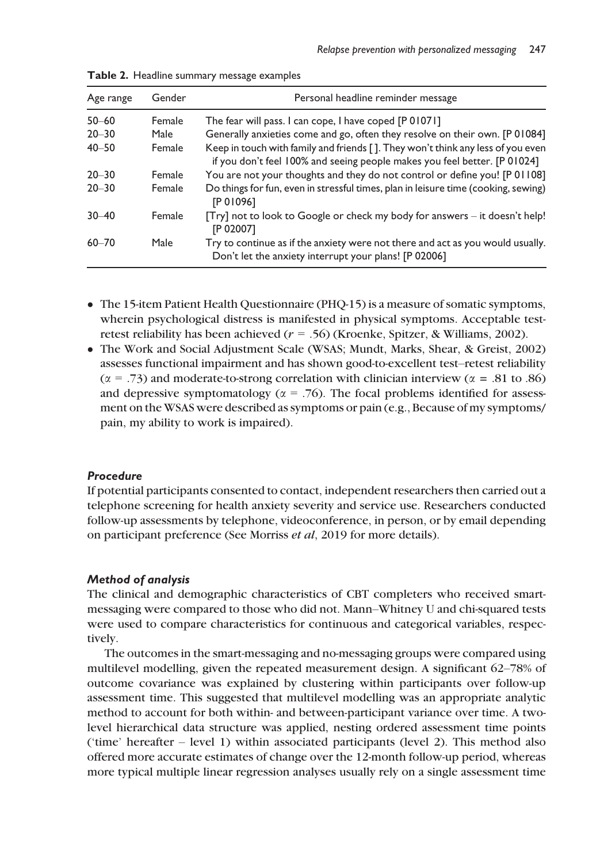| Age range | Personal headline reminder message<br>Gender |                                                                                                                                                              |
|-----------|----------------------------------------------|--------------------------------------------------------------------------------------------------------------------------------------------------------------|
| $50 - 60$ | Female                                       | The fear will pass. I can cope, I have coped [P 01071]                                                                                                       |
| $20 - 30$ | Male                                         | Generally anxieties come and go, often they resolve on their own. [P 01084]                                                                                  |
| $40 - 50$ | Female                                       | Keep in touch with family and friends []. They won't think any less of you even<br>if you don't feel 100% and seeing people makes you feel better. [P 01024] |
| $20 - 30$ | Female                                       | You are not your thoughts and they do not control or define you! [P 01108]                                                                                   |
| $20 - 30$ | Female                                       | Do things for fun, even in stressful times, plan in leisure time (cooking, sewing)<br>[P 01096]                                                              |
| $30 - 40$ | Female                                       | [Try] not to look to Google or check my body for answers – it doesn't help!<br><b>IP 020071</b>                                                              |
| $60 - 70$ | Male                                         | Try to continue as if the anxiety were not there and act as you would usually.<br>Don't let the anxiety interrupt your plans! [P 02006]                      |

Table 2. Headline summary message examples

- The 15-item Patient Health Questionnaire (PHQ-15) is a measure of somatic symptoms, wherein psychological distress is manifested in physical symptoms. Acceptable testretest reliability has been achieved ( $r = .56$ ) (Kroenke, Spitzer, & Williams, 2002).
- The Work and Social Adjustment Scale (WSAS; Mundt, Marks, Shear, & Greist, 2002) assesses functional impairment and has shown good-to-excellent test–retest reliability  $(\alpha = .73)$  and moderate-to-strong correlation with clinician interview ( $\alpha = .81$  to .86) and depressive symptomatology ( $\alpha$  = .76). The focal problems identified for assessment on the WSAS were described as symptoms or pain (e.g., Because of my symptoms/ pain, my ability to work is impaired).

#### Procedure

If potential participants consented to contact, independent researchers then carried out a telephone screening for health anxiety severity and service use. Researchers conducted follow-up assessments by telephone, videoconference, in person, or by email depending on participant preference (See Morriss et al, 2019 for more details).

#### Method of analysis

The clinical and demographic characteristics of CBT completers who received smartmessaging were compared to those who did not. Mann–Whitney U and chi-squared tests were used to compare characteristics for continuous and categorical variables, respectively.

The outcomes in the smart-messaging and no-messaging groups were compared using multilevel modelling, given the repeated measurement design. A significant 62–78% of outcome covariance was explained by clustering within participants over follow-up assessment time. This suggested that multilevel modelling was an appropriate analytic method to account for both within- and between-participant variance over time. A twolevel hierarchical data structure was applied, nesting ordered assessment time points ('time' hereafter – level 1) within associated participants (level 2). This method also offered more accurate estimates of change over the 12-month follow-up period, whereas more typical multiple linear regression analyses usually rely on a single assessment time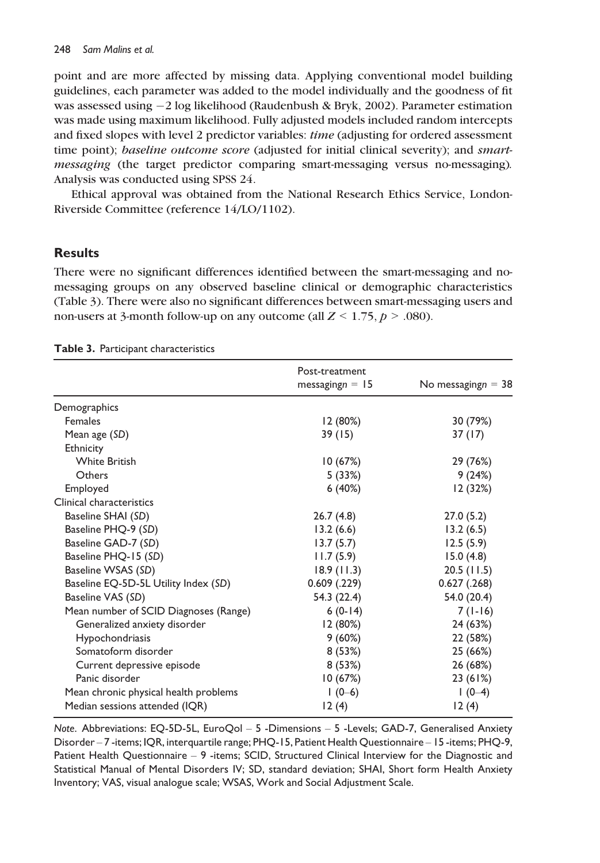point and are more affected by missing data. Applying conventional model building guidelines, each parameter was added to the model individually and the goodness of fit was assessed using  $-2$  log likelihood (Raudenbush & Bryk, 2002). Parameter estimation was made using maximum likelihood. Fully adjusted models included random intercepts and fixed slopes with level 2 predictor variables: time (adjusting for ordered assessment time point); *baseline outcome score* (adjusted for initial clinical severity); and *smart*messaging (the target predictor comparing smart-messaging versus no-messaging). Analysis was conducted using SPSS 24.

Ethical approval was obtained from the National Research Ethics Service, London-Riverside Committee (reference 14/LO/1102).

#### Results

There were no significant differences identified between the smart-messaging and nomessaging groups on any observed baseline clinical or demographic characteristics (Table 3). There were also no significant differences between smart-messaging users and non-users at 3-month follow-up on any outcome (all  $Z \le 1.75$ ,  $p > .080$ ).

|                                       | Post-treatment<br>messagingn = $15$ | No messagingn = $38$ |
|---------------------------------------|-------------------------------------|----------------------|
| Demographics                          |                                     |                      |
| Females                               | 12 (80%)                            | 30 (79%)             |
| Mean age $(SD)$                       | 39 (15)                             | 37(17)               |
| Ethnicity                             |                                     |                      |
| <b>White British</b>                  | 10(67%)                             | 29 (76%)             |
| Others                                | 5 (33%)                             | 9(24%)               |
| Employed                              | 6(40%)                              | 12 (32%)             |
| Clinical characteristics              |                                     |                      |
| Baseline SHAI (SD)                    | 26.7(4.8)                           | 27.0(5.2)            |
| Baseline PHQ-9 (SD)                   | 13.2(6.6)                           | 13.2(6.5)            |
| Baseline GAD-7 (SD)                   | 13.7(5.7)                           | 12.5(5.9)            |
| Baseline PHQ-15 (SD)                  | 11.7(5.9)                           | 15.0(4.8)            |
| Baseline WSAS (SD)                    | 18.9(11.3)                          | $20.5$ (11.5)        |
| Baseline EQ-5D-5L Utility Index (SD)  | 0.609(0.229)                        | $0.627$ $(.268)$     |
| Baseline VAS (SD)                     | 54.3 (22.4)                         | 54.0 (20.4)          |
| Mean number of SCID Diagnoses (Range) | $6(0-14)$                           | $7(1-16)$            |
| Generalized anxiety disorder          | 12 (80%)                            | 24 (63%)             |
| Hypochondriasis                       | 9(60%)                              | 22 (58%)             |
| Somatoform disorder                   | 8(53%)                              | 25 (66%)             |
| Current depressive episode            | 8(53%)                              | 26 (68%)             |
| Panic disorder                        | 10 (67%)                            | 23 (61%)             |
| Mean chronic physical health problems | $1(0-6)$                            | $1(0-4)$             |
| Median sessions attended (IQR)        | 12(4)                               | 12(4)                |

Table 3. Participant characteristics

Note. Abbreviations: EQ-5D-5L, EuroQol – 5 -Dimensions – 5 -Levels; GAD-7, Generalised Anxiety Disorder – 7 -items; IQR, interquartile range; PHQ-15, Patient Health Questionnaire – 15 -items; PHQ-9, Patient Health Questionnaire – 9 -items; SCID, Structured Clinical Interview for the Diagnostic and Statistical Manual of Mental Disorders IV; SD, standard deviation; SHAI, Short form Health Anxiety Inventory; VAS, visual analogue scale; WSAS, Work and Social Adjustment Scale.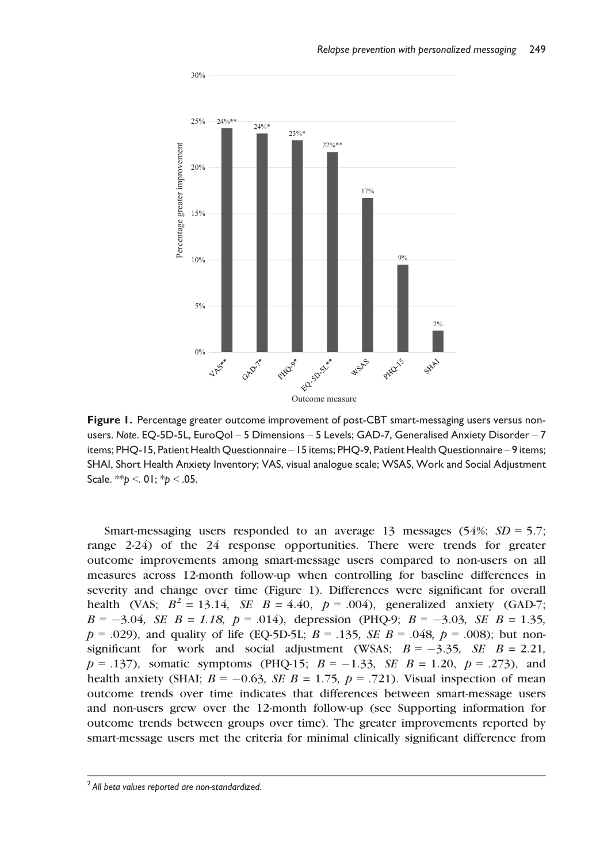

Figure 1. Percentage greater outcome improvement of post-CBT smart-messaging users versus nonusers. Note. EQ-5D-5L, EuroQol – 5 Dimensions – 5 Levels; GAD-7, Generalised Anxiety Disorder – 7 items; PHQ-15, Patient Health Questionnaire – 15 items; PHQ-9, Patient Health Questionnaire – 9 items; SHAI, Short Health Anxiety Inventory; VAS, visual analogue scale; WSAS, Work and Social Adjustment Scale. \*\*p < .01; \*p < .05.

Smart-messaging users responded to an average 13 messages (54%;  $SD = 5.7$ ; range 2-24) of the 24 response opportunities. There were trends for greater outcome improvements among smart-message users compared to non-users on all measures across 12-month follow-up when controlling for baseline differences in severity and change over time (Figure 1). Differences were significant for overall health (VAS;  $B^2 = 13.14$ ,  $SE$   $B = 4.40$ ,  $p = .004$ ), generalized anxiety (GAD-7;  $B = -3.04$ ,  $SE$  B = 1.18, p = .014), depression (PHQ-9; B = -3.03, SE B = 1.35,  $p = .029$ , and quality of life (EQ-5D-5L;  $B = .135$ ,  $SE B = .048$ ,  $p = .008$ ); but nonsignificant for work and social adjustment (WSAS;  $B = -3.35$ ,  $SE$   $B = 2.21$ ,  $p = .137$ ), somatic symptoms (PHQ-15;  $B = -1.33$ , *SE B* = 1.20,  $p = .273$ ), and health anxiety (SHAI;  $B = -0.63$ , SE  $B = 1.75$ ,  $p = .721$ ). Visual inspection of mean outcome trends over time indicates that differences between smart-message users and non-users grew over the 12-month follow-up (see Supporting information for outcome trends between groups over time). The greater improvements reported by smart-message users met the criteria for minimal clinically significant difference from

<sup>&</sup>lt;sup>2</sup> All beta values reported are non-standardized.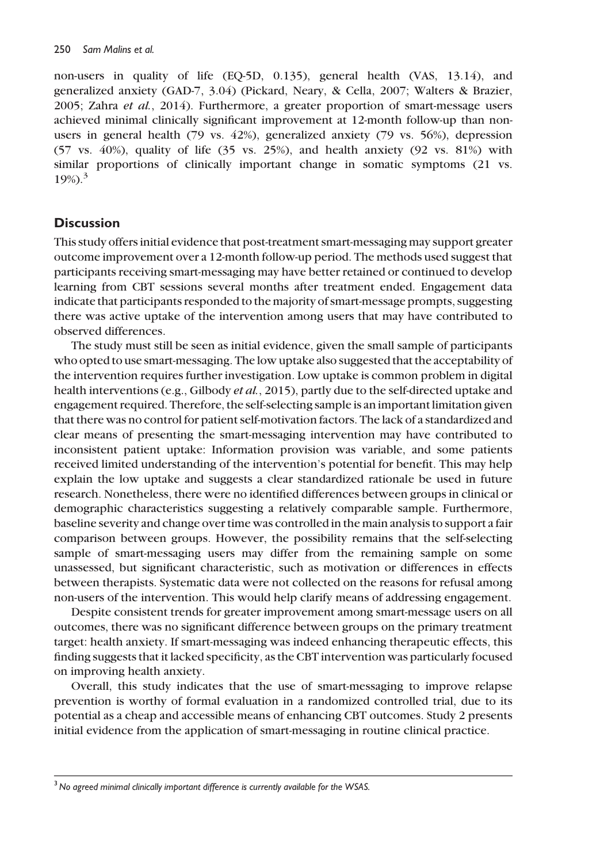non-users in quality of life (EQ-5D, 0.135), general health (VAS, 13.14), and generalized anxiety (GAD-7, 3.04) (Pickard, Neary, & Cella, 2007; Walters & Brazier, 2005; Zahra et al., 2014). Furthermore, a greater proportion of smart-message users achieved minimal clinically significant improvement at 12-month follow-up than nonusers in general health (79 vs. 42%), generalized anxiety (79 vs. 56%), depression (57 vs. 40%), quality of life (35 vs. 25%), and health anxiety (92 vs. 81%) with similar proportions of clinically important change in somatic symptoms (21 vs.  $19\%$ ).<sup>3</sup>

# **Discussion**

This study offers initial evidence that post-treatment smart-messaging may support greater outcome improvement over a 12-month follow-up period. The methods used suggest that participants receiving smart-messaging may have better retained or continued to develop learning from CBT sessions several months after treatment ended. Engagement data indicate that participants responded to the majority of smart-message prompts, suggesting there was active uptake of the intervention among users that may have contributed to observed differences.

The study must still be seen as initial evidence, given the small sample of participants who opted to use smart-messaging. The low uptake also suggested that the acceptability of the intervention requires further investigation. Low uptake is common problem in digital health interventions (e.g., Gilbody *et al.*, 2015), partly due to the self-directed uptake and engagement required. Therefore, the self-selecting sample is an important limitation given that there was no control for patient self-motivation factors. The lack of a standardized and clear means of presenting the smart-messaging intervention may have contributed to inconsistent patient uptake: Information provision was variable, and some patients received limited understanding of the intervention's potential for benefit. This may help explain the low uptake and suggests a clear standardized rationale be used in future research. Nonetheless, there were no identified differences between groups in clinical or demographic characteristics suggesting a relatively comparable sample. Furthermore, baseline severity and change over time was controlled in the main analysis to support a fair comparison between groups. However, the possibility remains that the self-selecting sample of smart-messaging users may differ from the remaining sample on some unassessed, but significant characteristic, such as motivation or differences in effects between therapists. Systematic data were not collected on the reasons for refusal among non-users of the intervention. This would help clarify means of addressing engagement.

Despite consistent trends for greater improvement among smart-message users on all outcomes, there was no significant difference between groups on the primary treatment target: health anxiety. If smart-messaging was indeed enhancing therapeutic effects, this finding suggests that it lacked specificity, as the CBT intervention was particularly focused on improving health anxiety.

Overall, this study indicates that the use of smart-messaging to improve relapse prevention is worthy of formal evaluation in a randomized controlled trial, due to its potential as a cheap and accessible means of enhancing CBT outcomes. Study 2 presents initial evidence from the application of smart-messaging in routine clinical practice.

 $3$  No agreed minimal clinically important difference is currently available for the WSAS.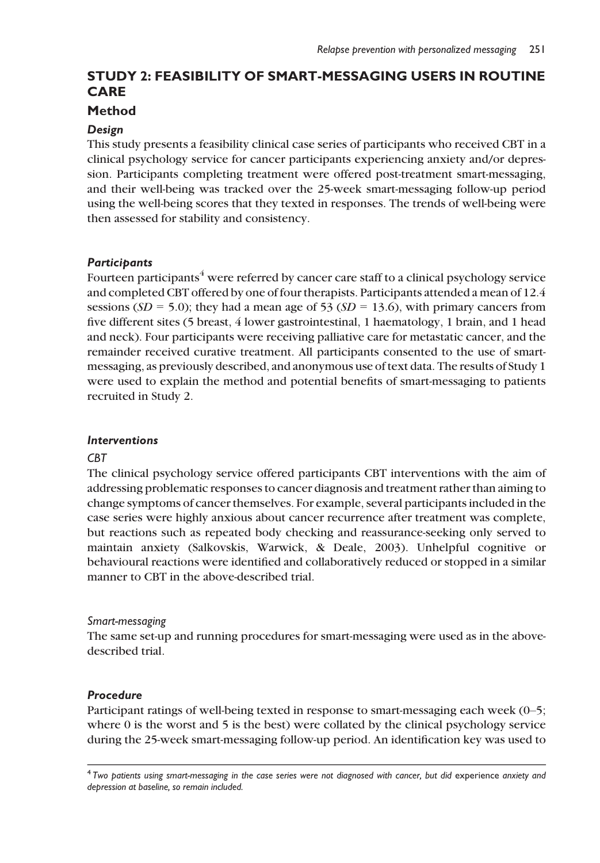# STUDY 2: FEASIBILITY OF SMART-MESSAGING USERS IN ROUTINE **CARE**

# Method

#### Design

This study presents a feasibility clinical case series of participants who received CBT in a clinical psychology service for cancer participants experiencing anxiety and/or depression. Participants completing treatment were offered post-treatment smart-messaging, and their well-being was tracked over the 25-week smart-messaging follow-up period using the well-being scores that they texted in responses. The trends of well-being were then assessed for stability and consistency.

#### **Participants**

Fourteen participants<sup>4</sup> were referred by cancer care staff to a clinical psychology service and completed CBT offered by one of four therapists. Participants attended a mean of 12.4 sessions ( $SD = 5.0$ ); they had a mean age of 53 ( $SD = 13.6$ ), with primary cancers from five different sites (5 breast, 4 lower gastrointestinal, 1 haematology, 1 brain, and 1 head and neck). Four participants were receiving palliative care for metastatic cancer, and the remainder received curative treatment. All participants consented to the use of smartmessaging, as previously described, and anonymous use of text data. The results of Study 1 were used to explain the method and potential benefits of smart-messaging to patients recruited in Study 2.

#### Interventions

#### CBT

The clinical psychology service offered participants CBT interventions with the aim of addressing problematic responses to cancer diagnosis and treatment rather than aiming to change symptoms of cancer themselves. For example, several participants included in the case series were highly anxious about cancer recurrence after treatment was complete, but reactions such as repeated body checking and reassurance-seeking only served to maintain anxiety (Salkovskis, Warwick, & Deale, 2003). Unhelpful cognitive or behavioural reactions were identified and collaboratively reduced or stopped in a similar manner to CBT in the above-described trial.

#### Smart-messaging

The same set-up and running procedures for smart-messaging were used as in the abovedescribed trial.

#### Procedure

Participant ratings of well-being texted in response to smart-messaging each week (0–5; where 0 is the worst and 5 is the best) were collated by the clinical psychology service during the 25-week smart-messaging follow-up period. An identification key was used to

 $4$  Two patients using smart-messaging in the case series were not diagnosed with cancer, but did experience anxiety and depression at baseline, so remain included.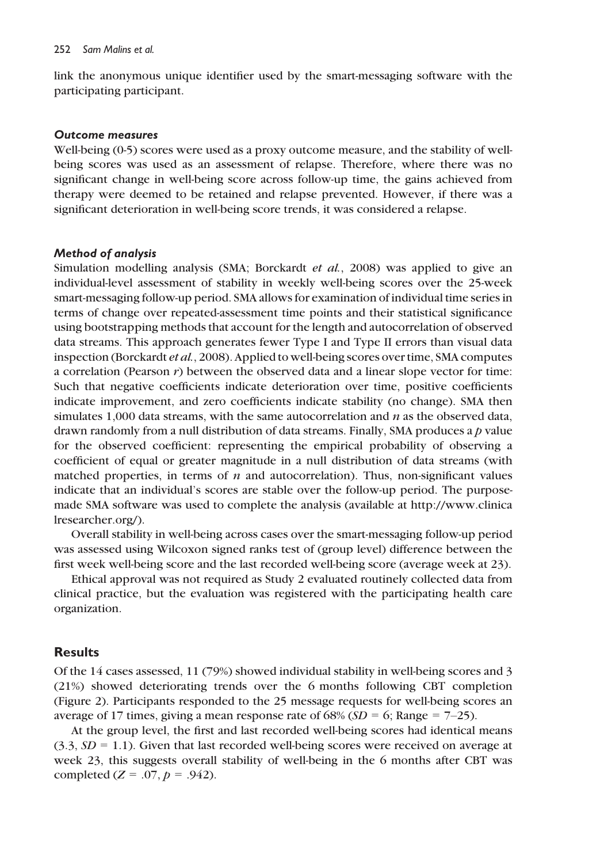link the anonymous unique identifier used by the smart-messaging software with the participating participant.

#### Outcome measures

Well-being (0-5) scores were used as a proxy outcome measure, and the stability of wellbeing scores was used as an assessment of relapse. Therefore, where there was no significant change in well-being score across follow-up time, the gains achieved from therapy were deemed to be retained and relapse prevented. However, if there was a significant deterioration in well-being score trends, it was considered a relapse.

#### Method of analysis

Simulation modelling analysis (SMA; Borckardt et al., 2008) was applied to give an individual-level assessment of stability in weekly well-being scores over the 25-week smart-messaging follow-up period. SMA allows for examination of individual time series in terms of change over repeated-assessment time points and their statistical significance using bootstrapping methods that account for the length and autocorrelation of observed data streams. This approach generates fewer Type I and Type II errors than visual data inspection (Borckardt et al., 2008). Applied to well-being scores over time, SMA computes a correlation (Pearson  $r$ ) between the observed data and a linear slope vector for time: Such that negative coefficients indicate deterioration over time, positive coefficients indicate improvement, and zero coefficients indicate stability (no change). SMA then simulates 1,000 data streams, with the same autocorrelation and  $n$  as the observed data, drawn randomly from a null distribution of data streams. Finally, SMA produces a p value for the observed coefficient: representing the empirical probability of observing a coefficient of equal or greater magnitude in a null distribution of data streams (with matched properties, in terms of  $n$  and autocorrelation). Thus, non-significant values indicate that an individual's scores are stable over the follow-up period. The purposemade SMA software was used to complete the analysis (available at [http://www.clinica](http://www.clinicalresearcher.org/) [lresearcher.org/](http://www.clinicalresearcher.org/)).

Overall stability in well-being across cases over the smart-messaging follow-up period was assessed using Wilcoxon signed ranks test of (group level) difference between the first week well-being score and the last recorded well-being score (average week at 23).

Ethical approval was not required as Study 2 evaluated routinely collected data from clinical practice, but the evaluation was registered with the participating health care organization.

#### **Results**

Of the 14 cases assessed, 11 (79%) showed individual stability in well-being scores and 3 (21%) showed deteriorating trends over the 6 months following CBT completion (Figure 2). Participants responded to the 25 message requests for well-being scores an average of 17 times, giving a mean response rate of  $68\%$  ( $SD = 6$ ; Range = 7–25).

At the group level, the first and last recorded well-being scores had identical means  $(3.3, SD = 1.1)$ . Given that last recorded well-being scores were received on average at week 23, this suggests overall stability of well-being in the 6 months after CBT was completed  $(Z = .07, p = .942)$ .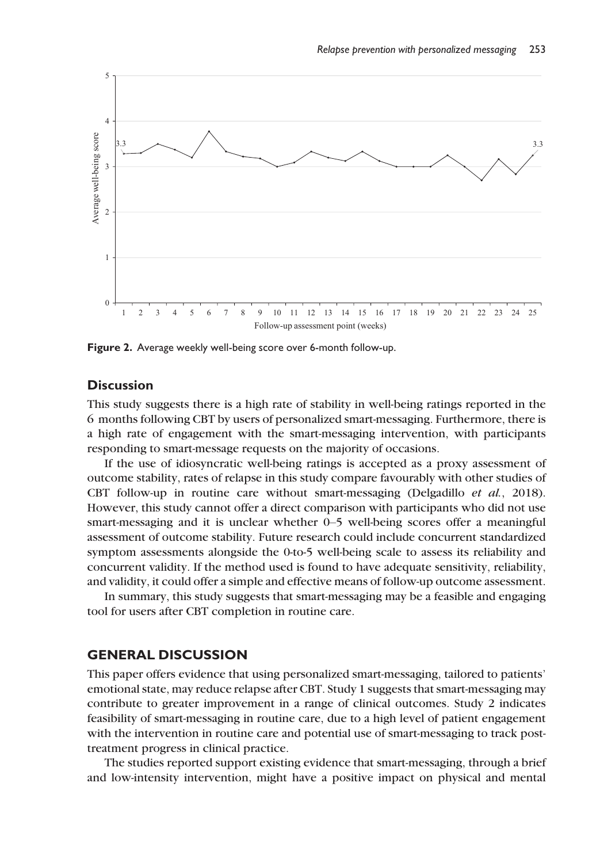

Figure 2. Average weekly well-being score over 6-month follow-up.

#### **Discussion**

This study suggests there is a high rate of stability in well-being ratings reported in the 6 months following CBT by users of personalized smart-messaging. Furthermore, there is a high rate of engagement with the smart-messaging intervention, with participants responding to smart-message requests on the majority of occasions.

If the use of idiosyncratic well-being ratings is accepted as a proxy assessment of outcome stability, rates of relapse in this study compare favourably with other studies of CBT follow-up in routine care without smart-messaging (Delgadillo *et al.*, 2018). However, this study cannot offer a direct comparison with participants who did not use smart-messaging and it is unclear whether 0–5 well-being scores offer a meaningful assessment of outcome stability. Future research could include concurrent standardized symptom assessments alongside the 0-to-5 well-being scale to assess its reliability and concurrent validity. If the method used is found to have adequate sensitivity, reliability, and validity, it could offer a simple and effective means of follow-up outcome assessment.

In summary, this study suggests that smart-messaging may be a feasible and engaging tool for users after CBT completion in routine care.

#### GENERAL DISCUSSION

This paper offers evidence that using personalized smart-messaging, tailored to patients' emotional state, may reduce relapse after CBT. Study 1 suggests that smart-messaging may contribute to greater improvement in a range of clinical outcomes. Study 2 indicates feasibility of smart-messaging in routine care, due to a high level of patient engagement with the intervention in routine care and potential use of smart-messaging to track posttreatment progress in clinical practice.

The studies reported support existing evidence that smart-messaging, through a brief and low-intensity intervention, might have a positive impact on physical and mental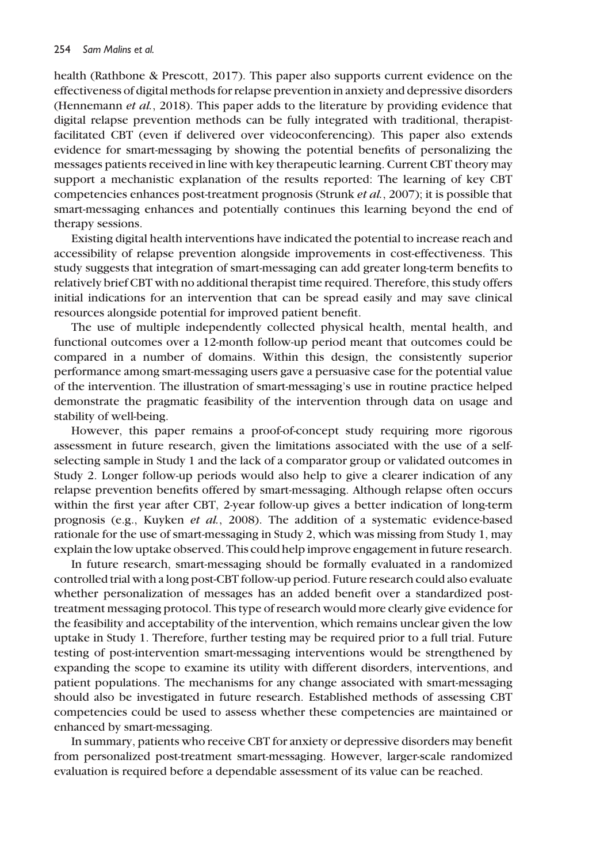health (Rathbone & Prescott, 2017). This paper also supports current evidence on the effectiveness of digital methods for relapse prevention in anxiety and depressive disorders (Hennemann et al., 2018). This paper adds to the literature by providing evidence that digital relapse prevention methods can be fully integrated with traditional, therapistfacilitated CBT (even if delivered over videoconferencing). This paper also extends evidence for smart-messaging by showing the potential benefits of personalizing the messages patients received in line with key therapeutic learning. Current CBT theory may support a mechanistic explanation of the results reported: The learning of key CBT competencies enhances post-treatment prognosis (Strunk et al., 2007); it is possible that smart-messaging enhances and potentially continues this learning beyond the end of therapy sessions.

Existing digital health interventions have indicated the potential to increase reach and accessibility of relapse prevention alongside improvements in cost-effectiveness. This study suggests that integration of smart-messaging can add greater long-term benefits to relatively brief CBT with no additional therapist time required. Therefore, this study offers initial indications for an intervention that can be spread easily and may save clinical resources alongside potential for improved patient benefit.

The use of multiple independently collected physical health, mental health, and functional outcomes over a 12-month follow-up period meant that outcomes could be compared in a number of domains. Within this design, the consistently superior performance among smart-messaging users gave a persuasive case for the potential value of the intervention. The illustration of smart-messaging's use in routine practice helped demonstrate the pragmatic feasibility of the intervention through data on usage and stability of well-being.

However, this paper remains a proof-of-concept study requiring more rigorous assessment in future research, given the limitations associated with the use of a selfselecting sample in Study 1 and the lack of a comparator group or validated outcomes in Study 2. Longer follow-up periods would also help to give a clearer indication of any relapse prevention benefits offered by smart-messaging. Although relapse often occurs within the first year after CBT, 2-year follow-up gives a better indication of long-term prognosis (e.g., Kuyken et al., 2008). The addition of a systematic evidence-based rationale for the use of smart-messaging in Study 2, which was missing from Study 1, may explain the low uptake observed. This could help improve engagement in future research.

In future research, smart-messaging should be formally evaluated in a randomized controlled trial with a long post-CBT follow-up period. Future research could also evaluate whether personalization of messages has an added benefit over a standardized posttreatment messaging protocol. This type of research would more clearly give evidence for the feasibility and acceptability of the intervention, which remains unclear given the low uptake in Study 1. Therefore, further testing may be required prior to a full trial. Future testing of post-intervention smart-messaging interventions would be strengthened by expanding the scope to examine its utility with different disorders, interventions, and patient populations. The mechanisms for any change associated with smart-messaging should also be investigated in future research. Established methods of assessing CBT competencies could be used to assess whether these competencies are maintained or enhanced by smart-messaging.

In summary, patients who receive CBT for anxiety or depressive disorders may benefit from personalized post-treatment smart-messaging. However, larger-scale randomized evaluation is required before a dependable assessment of its value can be reached.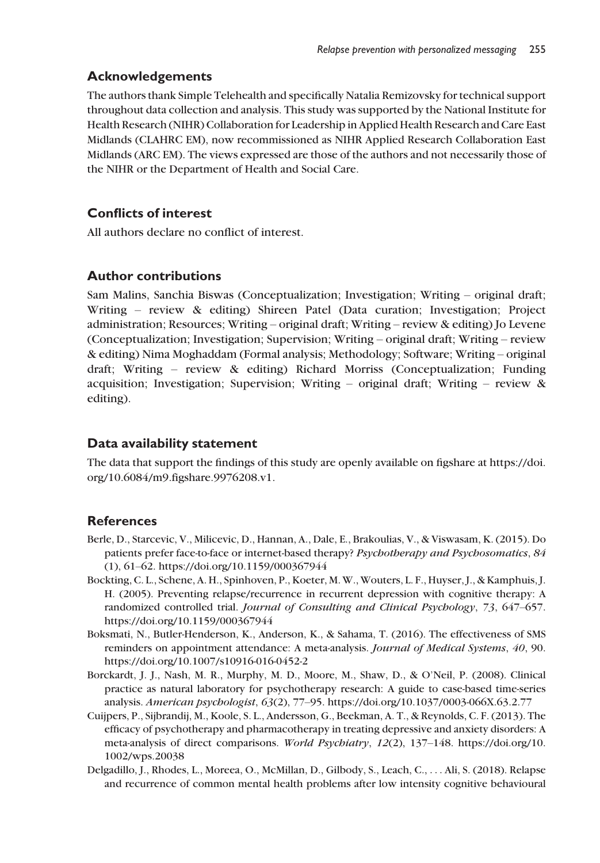# Acknowledgements

The authors thank Simple Telehealth and specifically Natalia Remizovsky for technical support throughout data collection and analysis. This study was supported by the National Institute for Health Research (NIHR) Collaboration for Leadership in Applied Health Research and Care East Midlands (CLAHRC EM), now recommissioned as NIHR Applied Research Collaboration East Midlands (ARC EM). The views expressed are those of the authors and not necessarily those of the NIHR or the Department of Health and Social Care.

# Conflicts of interest

All authors declare no conflict of interest.

# Author contributions

Sam Malins, Sanchia Biswas (Conceptualization; Investigation; Writing – original draft; Writing – review & editing) Shireen Patel (Data curation; Investigation; Project administration; Resources; Writing – original draft; Writing – review & editing) Jo Levene (Conceptualization; Investigation; Supervision; Writing – original draft; Writing – review & editing) Nima Moghaddam (Formal analysis; Methodology; Software; Writing – original draft; Writing – review & editing) Richard Morriss (Conceptualization; Funding acquisition; Investigation; Supervision; Writing – original draft; Writing – review & editing).

# Data availability statement

The data that support the findings of this study are openly available on figshare at [https://doi.](https://doi.org/10.6084/m9.figshare.9976208.v1) [org/10.6084/m9.figshare.9976208.v1](https://doi.org/10.6084/m9.figshare.9976208.v1).

# **References**

- Berle, D., Starcevic, V., Milicevic, D., Hannan, A., Dale, E., Brakoulias, V., & Viswasam, K. (2015). Do patients prefer face-to-face or internet-based therapy? Psychotherapy and Psychosomatics, 84 (1), 61–62.<https://doi.org/10.1159/000367944>
- Bockting, C. L., Schene, A. H., Spinhoven, P., Koeter, M. W.,Wouters, L. F., Huyser, J., & Kamphuis, J. H. (2005). Preventing relapse/recurrence in recurrent depression with cognitive therapy: A randomized controlled trial. Journal of Consulting and Clinical Psychology, 73, 647–657. <https://doi.org/10.1159/000367944>
- Boksmati, N., Butler-Henderson, K., Anderson, K., & Sahama, T. (2016). The effectiveness of SMS reminders on appointment attendance: A meta-analysis. Journal of Medical Systems, 40, 90. <https://doi.org/10.1007/s10916-016-0452-2>
- Borckardt, J. J., Nash, M. R., Murphy, M. D., Moore, M., Shaw, D., & O'Neil, P. (2008). Clinical practice as natural laboratory for psychotherapy research: A guide to case-based time-series analysis. American psychologist, 63(2), 77–95.<https://doi.org/10.1037/0003-066X.63.2.77>
- Cuijpers, P., Sijbrandij, M., Koole, S. L., Andersson, G., Beekman, A. T., & Reynolds, C. F. (2013). The efficacy of psychotherapy and pharmacotherapy in treating depressive and anxiety disorders: A meta-analysis of direct comparisons. World Psychiatry, 12(2), 137–148. [https://doi.org/10.](https://doi.org/10.1002/wps.20038) [1002/wps.20038](https://doi.org/10.1002/wps.20038)
- Delgadillo, J., Rhodes, L., Moreea, O., McMillan, D., Gilbody, S., Leach, C., ... Ali, S. (2018). Relapse and recurrence of common mental health problems after low intensity cognitive behavioural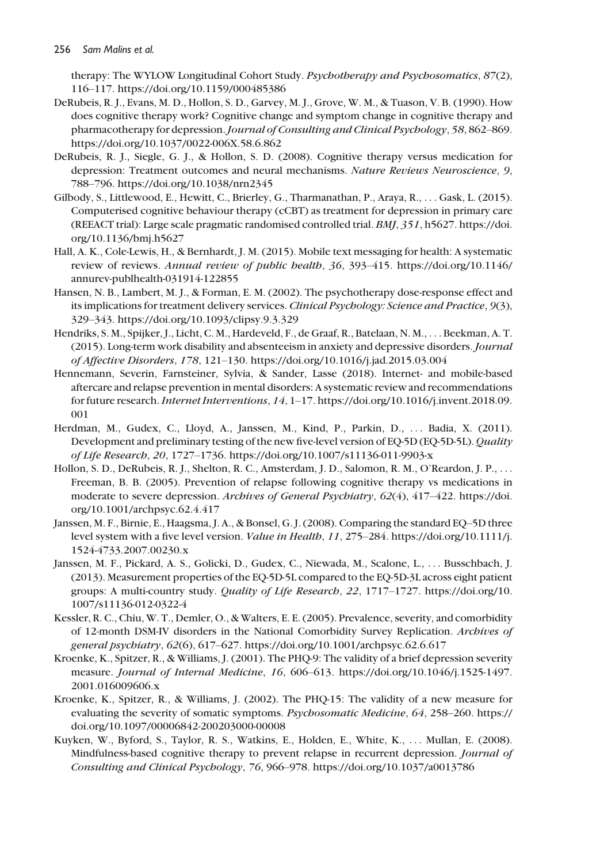therapy: The WYLOW Longitudinal Cohort Study. Psychotherapy and Psychosomatics, 87(2), 116–117.<https://doi.org/10.1159/000485386>

- DeRubeis, R. J., Evans, M. D., Hollon, S. D., Garvey, M. J., Grove, W. M., & Tuason, V. B. (1990). How does cognitive therapy work? Cognitive change and symptom change in cognitive therapy and pharmacotherapy for depression.Journal of Consulting and Clinical Psychology, 58, 862–869. <https://doi.org/10.1037/0022-006X.58.6.862>
- DeRubeis, R. J., Siegle, G. J., & Hollon, S. D. (2008). Cognitive therapy versus medication for depression: Treatment outcomes and neural mechanisms. Nature Reviews Neuroscience, 9, 788–796.<https://doi.org/10.1038/nrn2345>
- Gilbody, S., Littlewood, E., Hewitt, C., Brierley, G., Tharmanathan, P., Araya, R., ... Gask, L. (2015). Computerised cognitive behaviour therapy (cCBT) as treatment for depression in primary care (REEACT trial): Large scale pragmatic randomised controlled trial. BMJ, 351, h5627. [https://doi.](https://doi.org/10.1136/bmj.h5627) [org/10.1136/bmj.h5627](https://doi.org/10.1136/bmj.h5627)
- Hall, A. K., Cole-Lewis, H., & Bernhardt, J. M. (2015). Mobile text messaging for health: A systematic review of reviews. Annual review of public health, 36, 393–415. [https://doi.org/10.1146/](https://doi.org/10.1146/annurev-publhealth-031914-122855) [annurev-publhealth-031914-122855](https://doi.org/10.1146/annurev-publhealth-031914-122855)
- Hansen, N. B., Lambert, M. J., & Forman, E. M. (2002). The psychotherapy dose-response effect and its implications for treatment delivery services. Clinical Psychology: Science and Practice, 9(3), 329–343.<https://doi.org/10.1093/clipsy.9.3.329>
- Hendriks, S. M., Spijker, J., Licht, C. M., Hardeveld, F., de Graaf, R., Batelaan, N. M., ... Beekman, A. T. (2015). Long-term work disability and absenteeism in anxiety and depressive disorders. *Journal* of Affective Disorders, 178, 121–130.<https://doi.org/10.1016/j.jad.2015.03.004>
- Hennemann, Severin, Farnsteiner, Sylvia, & Sander, Lasse (2018). Internet- and mobile-based aftercare and relapse prevention in mental disorders: A systematic review and recommendations for future research. Internet Interventions, 14, 1–17. [https://doi.org/10.1016/j.invent.2018.09.](https://doi.org/10.1016/j.invent.2018.09.001) [001](https://doi.org/10.1016/j.invent.2018.09.001)
- Herdman, M., Gudex, C., Lloyd, A., Janssen, M., Kind, P., Parkin, D., ... Badia, X. (2011). Development and preliminary testing of the new five-level version of EQ-5D (EQ-5D-5L). Quality of Life Research, 20, 1727–1736.<https://doi.org/10.1007/s11136-011-9903-x>
- Hollon, S. D., DeRubeis, R. J., Shelton, R. C., Amsterdam, J. D., Salomon, R. M., O'Reardon, J. P., ... Freeman, B. B. (2005). Prevention of relapse following cognitive therapy vs medications in moderate to severe depression. Archives of General Psychiatry, 62(4), 417–422. [https://doi.](https://doi.org/10.1001/archpsyc.62.4.417) [org/10.1001/archpsyc.62.4.417](https://doi.org/10.1001/archpsyc.62.4.417)
- Janssen, M. F., Birnie, E., Haagsma, J. A., & Bonsel, G. J. (2008). Comparing the standard EQ–5D three level system with a five level version. Value in Health, 11, 275–284. [https://doi.org/10.1111/j.](https://doi.org/10.1111/j.1524-4733.2007.00230.x) [1524-4733.2007.00230.x](https://doi.org/10.1111/j.1524-4733.2007.00230.x)
- Janssen, M. F., Pickard, A. S., Golicki, D., Gudex, C., Niewada, M., Scalone, L., ... Busschbach, J. (2013). Measurement properties of the EQ-5D-5L compared to the EQ-5D-3L across eight patient groups: A multi-country study. Quality of Life Research, 22, 1717–1727. [https://doi.org/10.](https://doi.org/10.1007/s11136-012-0322-4) [1007/s11136-012-0322-4](https://doi.org/10.1007/s11136-012-0322-4)
- Kessler, R. C., Chiu, W. T., Demler, O., & Walters, E. E. (2005). Prevalence, severity, and comorbidity of 12-month DSM-IV disorders in the National Comorbidity Survey Replication. Archives of general psychiatry, 62(6), 617–627.<https://doi.org/10.1001/archpsyc.62.6.617>
- Kroenke, K., Spitzer, R., & Williams, J. (2001). The PHQ-9: The validity of a brief depression severity measure. Journal of Internal Medicine, 16, 606–613. [https://doi.org/10.1046/j.1525-1497.](https://doi.org/10.1046/j.1525-1497.2001.016009606.x) [2001.016009606.x](https://doi.org/10.1046/j.1525-1497.2001.016009606.x)
- Kroenke, K., Spitzer, R., & Williams, J. (2002). The PHQ-15: The validity of a new measure for evaluating the severity of somatic symptoms. Psychosomatic Medicine, 64, 258–260. [https://](https://doi.org/10.1097/00006842-200203000-00008) [doi.org/10.1097/00006842-200203000-00008](https://doi.org/10.1097/00006842-200203000-00008)
- Kuyken, W., Byford, S., Taylor, R. S., Watkins, E., Holden, E., White, K., ... Mullan, E. (2008). Mindfulness-based cognitive therapy to prevent relapse in recurrent depression. Journal of Consulting and Clinical Psychology, 76, 966–978.<https://doi.org/10.1037/a0013786>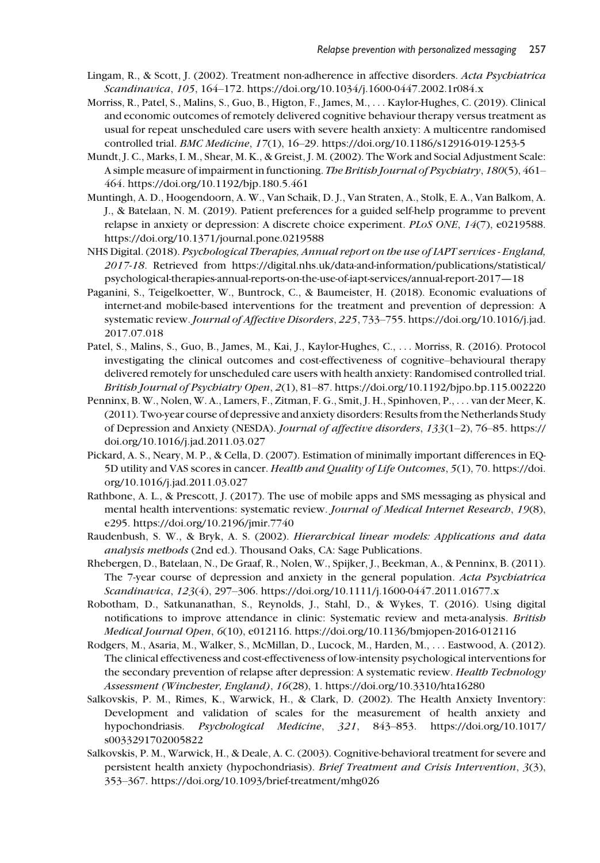- Lingam, R., & Scott, J. (2002). Treatment non-adherence in affective disorders. Acta Psychiatrica Scandinavica, 105, 164–172.<https://doi.org/10.1034/j.1600-0447.2002.1r084.x>
- Morriss, R., Patel, S., Malins, S., Guo, B., Higton, F., James, M., ... Kaylor-Hughes, C. (2019). Clinical and economic outcomes of remotely delivered cognitive behaviour therapy versus treatment as usual for repeat unscheduled care users with severe health anxiety: A multicentre randomised controlled trial. BMC Medicine, 17(1), 16–29.<https://doi.org/10.1186/s12916-019-1253-5>
- Mundt, J. C., Marks, I. M., Shear, M. K., & Greist, J. M. (2002). The Work and Social Adjustment Scale: A simple measure of impairment in functioning. The British Journal of Psychiatry, 180(5), 461– 464.<https://doi.org/10.1192/bjp.180.5.461>
- Muntingh, A. D., Hoogendoorn, A. W., Van Schaik, D. J., Van Straten, A., Stolk, E. A., Van Balkom, A. J., & Batelaan, N. M. (2019). Patient preferences for a guided self-help programme to prevent relapse in anxiety or depression: A discrete choice experiment. PLoS ONE, 14(7), e0219588. <https://doi.org/10.1371/journal.pone.0219588>
- NHS Digital. (2018). Psychological Therapies, Annual report on the use of IAPT services England, 2017-18. Retrieved from [https://digital.nhs.uk/data-and-information/publications/statistical/](https://digital.nhs.uk/data-and-information/publications/statistical/psychological-therapies-annual-reports-on-the-use-of-iapt-services/annual-report-2017---18) [psychological-therapies-annual-reports-on-the-use-of-iapt-services/annual-report-2017—18](https://digital.nhs.uk/data-and-information/publications/statistical/psychological-therapies-annual-reports-on-the-use-of-iapt-services/annual-report-2017---18)
- Paganini, S., Teigelkoetter, W., Buntrock, C., & Baumeister, H. (2018). Economic evaluations of internet-and mobile-based interventions for the treatment and prevention of depression: A systematic review. Journal of Affective Disorders, 225, 733–755. [https://doi.org/10.1016/j.jad.](https://doi.org/10.1016/j.jad.2017.07.018) [2017.07.018](https://doi.org/10.1016/j.jad.2017.07.018)
- Patel, S., Malins, S., Guo, B., James, M., Kai, J., Kaylor-Hughes, C., ... Morriss, R. (2016). Protocol investigating the clinical outcomes and cost-effectiveness of cognitive–behavioural therapy delivered remotely for unscheduled care users with health anxiety: Randomised controlled trial. British Journal of Psychiatry Open, 2(1), 81–87.<https://doi.org/10.1192/bjpo.bp.115.002220>
- Penninx, B. W., Nolen, W. A., Lamers, F., Zitman, F. G., Smit, J. H., Spinhoven, P., ... van der Meer, K. (2011). Two-year course of depressive and anxiety disorders: Results from the Netherlands Study of Depression and Anxiety (NESDA). Journal of affective disorders, 133(1–2), 76–85. [https://](https://doi.org/10.1016/j.jad.2011.03.027) [doi.org/10.1016/j.jad.2011.03.027](https://doi.org/10.1016/j.jad.2011.03.027)
- Pickard, A. S., Neary, M. P., & Cella, D. (2007). Estimation of minimally important differences in EQ-5D utility and VAS scores in cancer. Health and Quality of Life Outcomes, 5(1), 70. [https://doi.](https://doi.org/10.1016/j.jad.2011.03.027) [org/10.1016/j.jad.2011.03.027](https://doi.org/10.1016/j.jad.2011.03.027)
- Rathbone, A. L., & Prescott, J. (2017). The use of mobile apps and SMS messaging as physical and mental health interventions: systematic review. Journal of Medical Internet Research, 19(8), e295.<https://doi.org/10.2196/jmir.7740>
- Raudenbush, S. W., & Bryk, A. S. (2002). Hierarchical linear models: Applications and data analysis methods (2nd ed.). Thousand Oaks, CA: Sage Publications.
- Rhebergen, D., Batelaan, N., De Graaf, R., Nolen, W., Spijker, J., Beekman, A., & Penninx, B. (2011). The 7-year course of depression and anxiety in the general population. Acta Psychiatrica Scandinavica, 123(4), 297–306.<https://doi.org/10.1111/j.1600-0447.2011.01677.x>
- Robotham, D., Satkunanathan, S., Reynolds, J., Stahl, D., & Wykes, T. (2016). Using digital notifications to improve attendance in clinic: Systematic review and meta-analysis. British Medical Journal Open, 6(10), e012116.<https://doi.org/10.1136/bmjopen-2016-012116>
- Rodgers, M., Asaria, M., Walker, S., McMillan, D., Lucock, M., Harden, M., ... Eastwood, A. (2012). The clinical effectiveness and cost-effectiveness of low-intensity psychological interventions for the secondary prevention of relapse after depression: A systematic review. Health Technology Assessment (Winchester, England), 16(28), 1.<https://doi.org/10.3310/hta16280>
- Salkovskis, P. M., Rimes, K., Warwick, H., & Clark, D. (2002). The Health Anxiety Inventory: Development and validation of scales for the measurement of health anxiety and hypochondriasis. Psychological Medicine, 321, 843–853. [https://doi.org/10.1017/](https://doi.org/10.1017/s0033291702005822) [s0033291702005822](https://doi.org/10.1017/s0033291702005822)
- Salkovskis, P. M., Warwick, H., & Deale, A. C. (2003). Cognitive-behavioral treatment for severe and persistent health anxiety (hypochondriasis). Brief Treatment and Crisis Intervention, 3(3), 353–367.<https://doi.org/10.1093/brief-treatment/mhg026>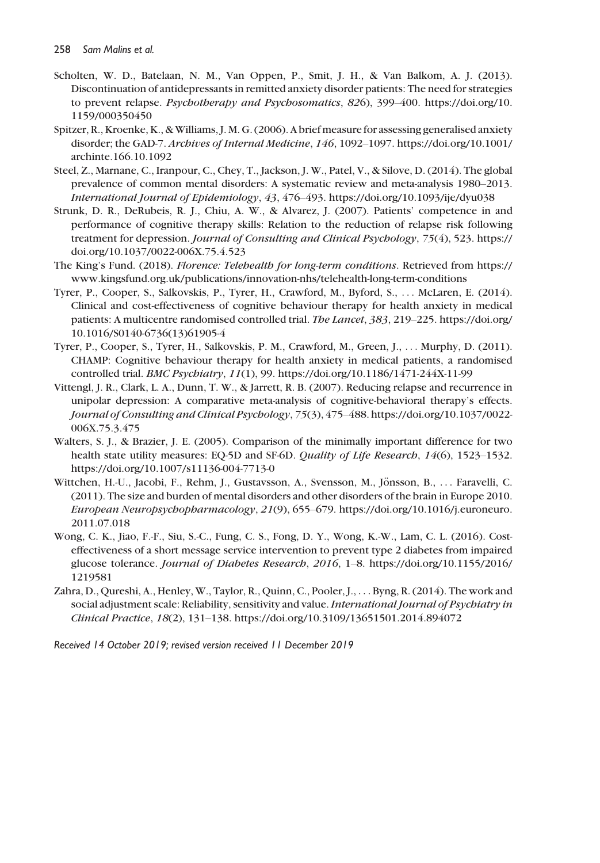- Scholten, W. D., Batelaan, N. M., Van Oppen, P., Smit, J. H., & Van Balkom, A. J. (2013). Discontinuation of antidepressants in remitted anxiety disorder patients: The need for strategies to prevent relapse. Psychotherapy and Psychosomatics, 826), 399-400. [https://doi.org/10.](https://doi.org/10.1159/000350450) [1159/000350450](https://doi.org/10.1159/000350450)
- Spitzer, R., Kroenke, K., & Williams, J. M. G. (2006). A brief measure for assessing generalised anxiety disorder; the GAD-7. Archives of Internal Medicine, 146, 1092–1097. [https://doi.org/10.1001/](https://doi.org/10.1001/archinte.166.10.1092) [archinte.166.10.1092](https://doi.org/10.1001/archinte.166.10.1092)
- Steel, Z., Marnane, C., Iranpour, C., Chey, T., Jackson, J. W., Patel, V., & Silove, D. (2014). The global prevalence of common mental disorders: A systematic review and meta-analysis 1980–2013. International Journal of Epidemiology, 43, 476–493.<https://doi.org/10.1093/ije/dyu038>
- Strunk, D. R., DeRubeis, R. J., Chiu, A. W., & Alvarez, J. (2007). Patients' competence in and performance of cognitive therapy skills: Relation to the reduction of relapse risk following treatment for depression. Journal of Consulting and Clinical Psychology, 75(4), 523. [https://](https://doi.org/10.1037/0022-006X.75.4.523) [doi.org/10.1037/0022-006X.75.4.523](https://doi.org/10.1037/0022-006X.75.4.523)
- The King's Fund. (2018). Florence: Telehealth for long-term conditions. Retrieved from [https://](https://www.kingsfund.org.uk/publications/innovation-nhs/telehealth-long-term-conditions) [www.kingsfund.org.uk/publications/innovation-nhs/telehealth-long-term-conditions](https://www.kingsfund.org.uk/publications/innovation-nhs/telehealth-long-term-conditions)
- Tyrer, P., Cooper, S., Salkovskis, P., Tyrer, H., Crawford, M., Byford, S., ... McLaren, E. (2014). Clinical and cost-effectiveness of cognitive behaviour therapy for health anxiety in medical patients: A multicentre randomised controlled trial. The Lancet, 383, 219–225. [https://doi.org/](https://doi.org/10.1016/S0140-6736(13)61905-4) [10.1016/S0140-6736\(13\)61905-4](https://doi.org/10.1016/S0140-6736(13)61905-4)
- Tyrer, P., Cooper, S., Tyrer, H., Salkovskis, P. M., Crawford, M., Green, J., ... Murphy, D. (2011). CHAMP: Cognitive behaviour therapy for health anxiety in medical patients, a randomised controlled trial. BMC Psychiatry, 11(1), 99.<https://doi.org/10.1186/1471-244X-11-99>
- Vittengl, J. R., Clark, L. A., Dunn, T. W., & Jarrett, R. B. (2007). Reducing relapse and recurrence in unipolar depression: A comparative meta-analysis of cognitive-behavioral therapy's effects. Journal of Consulting and Clinical Psychology, 75(3), 475–488. [https://doi.org/10.1037/0022-](https://doi.org/10.1037/0022-006X.75.3.475) [006X.75.3.475](https://doi.org/10.1037/0022-006X.75.3.475)
- Walters, S. J., & Brazier, J. E. (2005). Comparison of the minimally important difference for two health state utility measures: EQ-5D and SF-6D. Quality of Life Research, 14(6), 1523-1532. <https://doi.org/10.1007/s11136-004-7713-0>
- Wittchen, H.-U., Jacobi, F., Rehm, J., Gustavsson, A., Svensson, M., Jönsson, B., ... Faravelli, C. (2011). The size and burden of mental disorders and other disorders of the brain in Europe 2010. European Neuropsychopharmacology, 21(9), 655–679. [https://doi.org/10.1016/j.euroneuro.](https://doi.org/10.1016/j.euroneuro.2011.07.018) [2011.07.018](https://doi.org/10.1016/j.euroneuro.2011.07.018)
- Wong, C. K., Jiao, F.-F., Siu, S.-C., Fung, C. S., Fong, D. Y., Wong, K.-W., Lam, C. L. (2016). Costeffectiveness of a short message service intervention to prevent type 2 diabetes from impaired glucose tolerance. Journal of Diabetes Research, 2016, 1–8. [https://doi.org/10.1155/2016/](https://doi.org/10.1155/2016/1219581) [1219581](https://doi.org/10.1155/2016/1219581)
- Zahra, D., Qureshi, A., Henley, W., Taylor, R., Quinn, C., Pooler, J., ... Byng, R. (2014). The work and social adjustment scale: Reliability, sensitivity and value. International Journal of Psychiatry in Clinical Practice, 18(2), 131–138.<https://doi.org/10.3109/13651501.2014.894072>

Received 14 October 2019; revised version received 11 December 2019